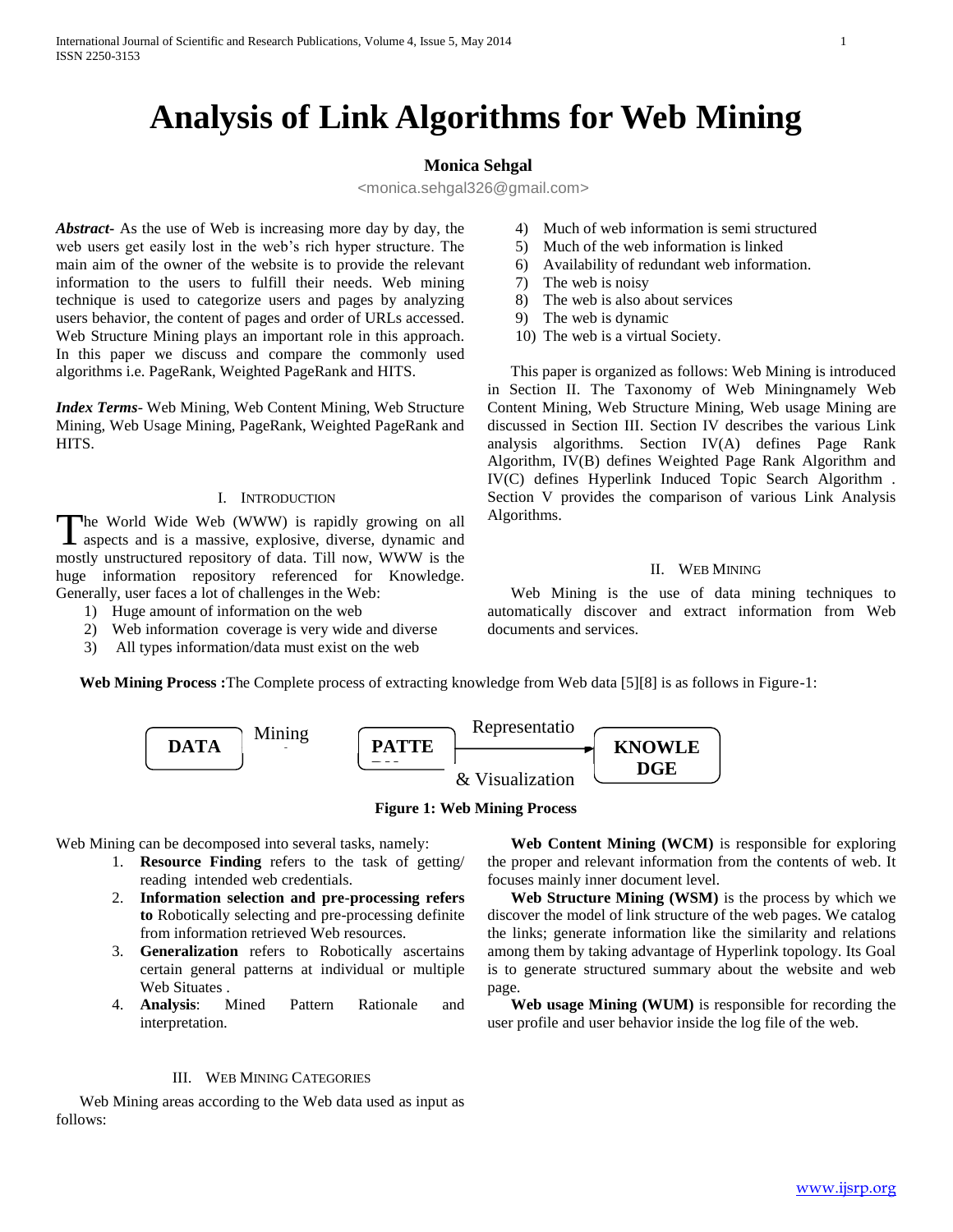# **Analysis of Link Algorithms for Web Mining**

# **Monica Sehgal**

<monica.sehgal326@gmail.com>

*Abstract***-** As the use of Web is increasing more day by day, the web users get easily lost in the web's rich hyper structure. The main aim of the owner of the website is to provide the relevant information to the users to fulfill their needs. Web mining technique is used to categorize users and pages by analyzing users behavior, the content of pages and order of URLs accessed. Web Structure Mining plays an important role in this approach. In this paper we discuss and compare the commonly used algorithms i.e. PageRank, Weighted PageRank and HITS.

*Index Terms*- Web Mining, Web Content Mining, Web Structure Mining, Web Usage Mining, PageRank, Weighted PageRank and HITS.

## I. INTRODUCTION

The World Wide Web (WWW) is rapidly growing on all The World Wide Web (WWW) is rapidly growing on all aspects and is a massive, explosive, diverse, dynamic and mostly unstructured repository of data. Till now, WWW is the huge information repository referenced for Knowledge. Generally, user faces a lot of challenges in the Web:

- 1) Huge amount of information on the web
- 2) Web information coverage is very wide and diverse
- 3) All types information/data must exist on the web
- 4) Much of web information is semi structured
- 5) Much of the web information is linked
- 6) Availability of redundant web information.
- 7) The web is noisy
- 8) The web is also about services
- 9) The web is dynamic
- 10) The web is a virtual Society.

 This paper is organized as follows: Web Mining is introduced in Section II. The Taxonomy of Web Miningnamely Web Content Mining, Web Structure Mining, Web usage Mining are discussed in Section III. Section IV describes the various Link analysis algorithms. Section IV(A) defines Page Rank Algorithm, IV(B) defines Weighted Page Rank Algorithm and IV(C) defines Hyperlink Induced Topic Search Algorithm . Section V provides the comparison of various Link Analysis Algorithms.

#### II. WEB MINING

 Web Mining is the use of data mining techniques to automatically discover and extract information from Web documents and services.

**Web Mining Process :**The Complete process of extracting knowledge from Web data [5][8] is as follows in Figure-1:



#### **Figure 1: Web Mining Process**

Web Mining can be decomposed into several tasks, namely:

- 1. **Resource Finding** refers to the task of getting/ reading intended web credentials.
- 2. **Information selection and pre-processing refers to** Robotically selecting and pre-processing definite from information retrieved Web resources.
- 3. **Generalization** refers to Robotically ascertains certain general patterns at individual or multiple Web Situates .
- 4. **Analysis**: Mined Pattern Rationale and interpretation.

## III. WEB MINING CATEGORIES

 Web Mining areas according to the Web data used as input as follows:

 **Web Content Mining (WCM)** is responsible for exploring the proper and relevant information from the contents of web. It focuses mainly inner document level.

 **Web Structure Mining (WSM)** is the process by which we discover the model of link structure of the web pages. We catalog the links; generate information like the similarity and relations among them by taking advantage of Hyperlink topology. Its Goal is to generate structured summary about the website and web page.

 **Web usage Mining (WUM)** is responsible for recording the user profile and user behavior inside the log file of the web.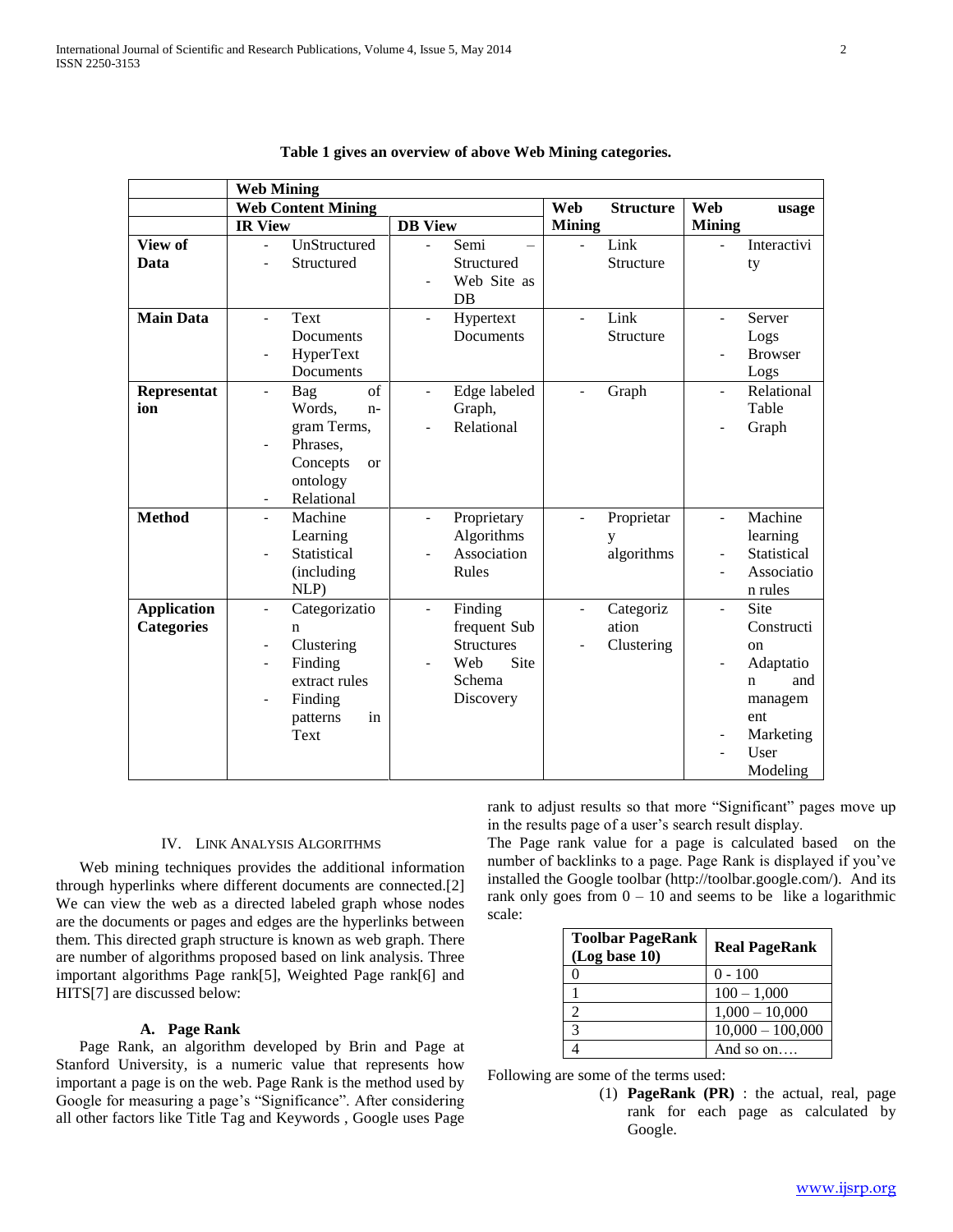|                    | <b>Web Mining</b>         |                           |                          |                   |                          |                  |                          |                    |
|--------------------|---------------------------|---------------------------|--------------------------|-------------------|--------------------------|------------------|--------------------------|--------------------|
|                    | <b>Web Content Mining</b> |                           |                          |                   | Web                      | <b>Structure</b> | Web                      | usage              |
|                    | <b>IR View</b>            |                           | <b>DB</b> View           |                   | <b>Mining</b>            |                  | <b>Mining</b>            |                    |
| View of            |                           | UnStructured              | $\overline{a}$           | Semi              |                          | Link             |                          | Interactivi        |
| Data               |                           | Structured                |                          | Structured        |                          | Structure        |                          | ty                 |
|                    |                           |                           |                          | Web Site as       |                          |                  |                          |                    |
|                    |                           |                           |                          | DB                |                          |                  |                          |                    |
| <b>Main Data</b>   | $\overline{\phantom{0}}$  | Text                      | $\overline{a}$           | Hypertext         | $\overline{\phantom{a}}$ | Link             | $\blacksquare$           | Server             |
|                    |                           | Documents                 |                          | <b>Documents</b>  |                          | Structure        |                          | Logs               |
|                    |                           | HyperText                 |                          |                   |                          |                  |                          | <b>Browser</b>     |
|                    |                           | Documents                 |                          |                   |                          |                  |                          | Logs               |
| Representat        | $\overline{\phantom{0}}$  | of<br>Bag                 | $\overline{\phantom{0}}$ | Edge labeled      | $\overline{\phantom{a}}$ | Graph            | $\blacksquare$           | Relational         |
| ion                |                           | Words.<br>$n-$            |                          | Graph,            |                          |                  |                          | Table              |
|                    |                           | gram Terms,               |                          | Relational        |                          |                  |                          | Graph              |
|                    | $\qquad \qquad -$         | Phrases,                  |                          |                   |                          |                  |                          |                    |
|                    |                           | Concepts<br><sub>or</sub> |                          |                   |                          |                  |                          |                    |
|                    |                           | ontology                  |                          |                   |                          |                  |                          |                    |
|                    | $\overline{\phantom{a}}$  | Relational                |                          |                   |                          |                  |                          |                    |
| <b>Method</b>      | $\frac{1}{2}$             | Machine                   | $\overline{a}$           | Proprietary       |                          | Proprietar       | $\overline{\phantom{a}}$ | Machine            |
|                    |                           | Learning                  |                          | Algorithms        |                          | y                |                          | learning           |
|                    |                           | Statistical               |                          | Association       |                          | algorithms       | $\blacksquare$           | Statistical        |
|                    |                           | (including                |                          | Rules             |                          |                  |                          | Associatio         |
|                    |                           | $NLP$ )                   |                          |                   |                          |                  |                          | n rules            |
| <b>Application</b> | $\blacksquare$            | Categorizatio             | $\overline{a}$           | Finding           | $\overline{\phantom{a}}$ | Categoriz        | $\overline{a}$           | Site               |
| <b>Categories</b>  |                           | n                         |                          | frequent Sub      |                          | ation            |                          | Constructi         |
|                    |                           | Clustering                |                          | <b>Structures</b> |                          | Clustering       |                          | <sub>on</sub>      |
|                    |                           | Finding                   |                          | Site<br>Web       |                          |                  |                          | Adaptatio          |
|                    |                           | extract rules             |                          | Schema            |                          |                  |                          | and<br>$\mathbf n$ |
|                    | $\overline{\phantom{a}}$  | Finding                   |                          | Discovery         |                          |                  |                          | managem            |
|                    |                           | patterns<br>in            |                          |                   |                          |                  |                          | ent                |
|                    |                           | Text                      |                          |                   |                          |                  |                          | Marketing          |
|                    |                           |                           |                          |                   |                          |                  |                          | User               |
|                    |                           |                           |                          |                   |                          |                  |                          | Modeling           |

|  |  |  | Table 1 gives an overview of above Web Mining categories. |
|--|--|--|-----------------------------------------------------------|
|  |  |  |                                                           |

## IV. LINK ANALYSIS ALGORITHMS

 Web mining techniques provides the additional information through hyperlinks where different documents are connected.[2] We can view the web as a directed labeled graph whose nodes are the documents or pages and edges are the hyperlinks between them. This directed graph structure is known as web graph. There are number of algorithms proposed based on link analysis. Three important algorithms Page rank[5], Weighted Page rank[6] and HITS[7] are discussed below:

#### **A. Page Rank**

 Page Rank, an algorithm developed by Brin and Page at Stanford University, is a numeric value that represents how important a page is on the web. Page Rank is the method used by Google for measuring a page's "Significance". After considering all other factors like Title Tag and Keywords , Google uses Page rank to adjust results so that more "Significant" pages move up in the results page of a user's search result display.

The Page rank value for a page is calculated based on the number of backlinks to a page. Page Rank is displayed if you've installed the Google toolbar (http://toolbar.google.com/). And its rank only goes from  $0 - 10$  and seems to be like a logarithmic scale:

| <b>Toolbar PageRank</b><br>(Log base 10) | <b>Real PageRank</b> |
|------------------------------------------|----------------------|
|                                          | $0 - 100$            |
|                                          | $100 - 1,000$        |
|                                          | $1,000 - 10,000$     |
|                                          | $10,000 - 100,000$   |
|                                          | And so on            |

Following are some of the terms used:

(1) **PageRank (PR)** : the actual, real, page rank for each page as calculated by Google.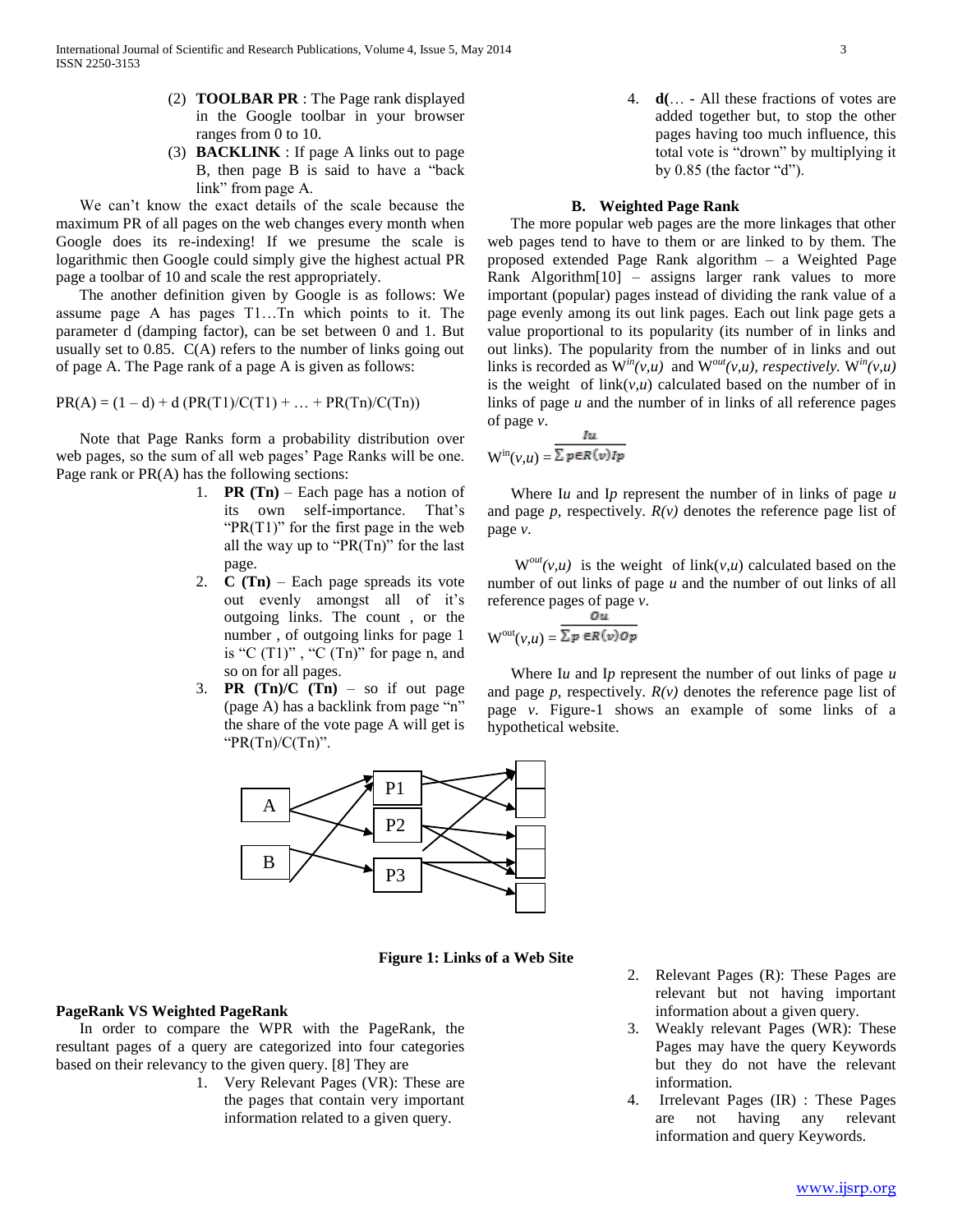- (2) **TOOLBAR PR** : The Page rank displayed in the Google toolbar in your browser ranges from 0 to 10.
- (3) **BACKLINK** : If page A links out to page B, then page B is said to have a "back link" from page A.

 We can't know the exact details of the scale because the maximum PR of all pages on the web changes every month when Google does its re-indexing! If we presume the scale is logarithmic then Google could simply give the highest actual PR page a toolbar of 10 and scale the rest appropriately.

 The another definition given by Google is as follows: We assume page A has pages T1…Tn which points to it. The parameter d (damping factor), can be set between 0 and 1. But usually set to  $0.85$ .  $C(A)$  refers to the number of links going out of page A. The Page rank of a page A is given as follows:

 $PR(A) = (1 - d) + d (PR(T1)/C(T1) + ... + PR(Tn)/C(Tn))$ 

 Note that Page Ranks form a probability distribution over web pages, so the sum of all web pages' Page Ranks will be one. Page rank or PR(A) has the following sections:

- 1. **PR (Tn)** Each page has a notion of its own self-importance. That's " $PR(T1)$ " for the first page in the web all the way up to " $PR(Tn)$ " for the last page.
- 2. **C (Tn)**  Each page spreads its vote out evenly amongst all of it's outgoing links. The count , or the number , of outgoing links for page 1 is "C  $(T1)$ ", "C  $(Tn)$ " for page n, and so on for all pages.
- 3. **PR**  $(Tn)/C$   $(Tn)$  so if out page (page A) has a backlink from page "n" the share of the vote page A will get is " $PR(Tn)/C(Tn)$ ".



**Figure 1: Links of a Web Site**

## **PageRank VS Weighted PageRank**

 In order to compare the WPR with the PageRank, the resultant pages of a query are categorized into four categories based on their relevancy to the given query. [8] They are

1. Very Relevant Pages (VR): These are the pages that contain very important information related to a given query.

4. **d(**… - All these fractions of votes are added together but, to stop the other pages having too much influence, this total vote is "drown" by multiplying it by 0.85 (the factor "d").

## **B. Weighted Page Rank**

 The more popular web pages are the more linkages that other web pages tend to have to them or are linked to by them. The proposed extended Page Rank algorithm – a Weighted Page Rank Algorithm[10] – assigns larger rank values to more important (popular) pages instead of dividing the rank value of a page evenly among its out link pages. Each out link page gets a value proportional to its popularity (its number of in links and out links). The popularity from the number of in links and out links is recorded as  $W^{in}(v,u)$  and  $W^{out}(v,u)$ , respectively.  $W^{in}(v,u)$ is the weight of  $link(v, u)$  calculated based on the number of in links of page *u* and the number of in links of all reference pages of page *v*. Iu

$$
W^{in}(v,u) = \frac{\overbrace{\Sigma \, \mathbf{p} \in R(v)} \mathbf{I} \mathbf{p}}{\Sigma \, \mathbf{p} \in R(v)} \mathbf{I} \mathbf{p}}
$$

 Where I*u* and I*p* represent the number of in links of page *u* and page  $p$ , respectively.  $R(v)$  denotes the reference page list of page *v*.

 $W^{out}(v,u)$  is the weight of link( $v,u$ ) calculated based on the number of out links of page *u* and the number of out links of all reference pages of page *v*.

$$
W^{out}(v,u) = \frac{\sum p \in R(v) \cdot op}{\sum p \in R(v) \cdot op}
$$

 Where I*u* and I*p* represent the number of out links of page *u* and page  $p$ , respectively.  $R(v)$  denotes the reference page list of page *v*. Figure-1 shows an example of some links of a hypothetical website.

- 2. Relevant Pages (R): These Pages are relevant but not having important information about a given query.
- 3. Weakly relevant Pages (WR): These Pages may have the query Keywords but they do not have the relevant information.
- 4. Irrelevant Pages (IR) : These Pages are not having any relevant information and query Keywords.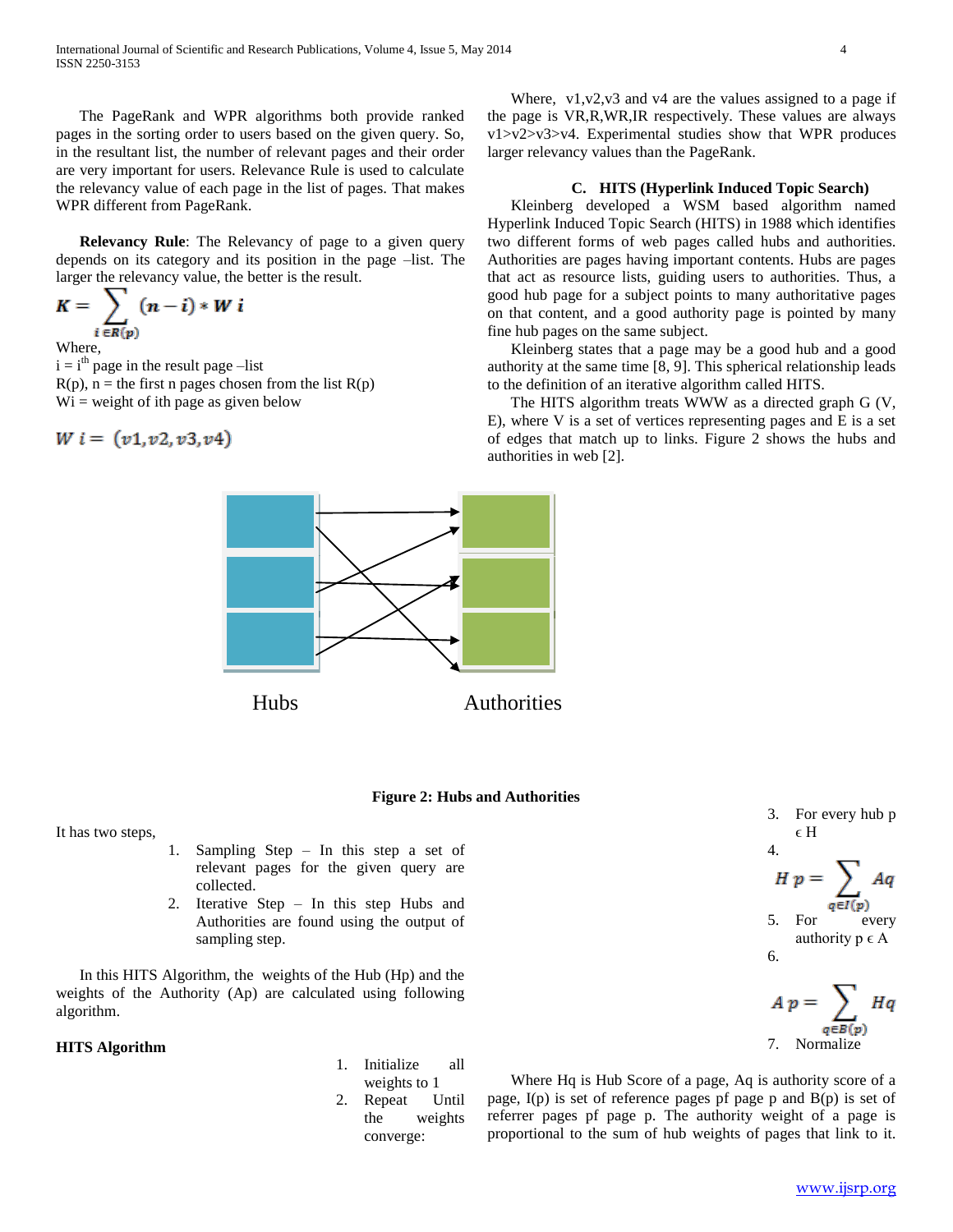The PageRank and WPR algorithms both provide ranked pages in the sorting order to users based on the given query. So, in the resultant list, the number of relevant pages and their order are very important for users. Relevance Rule is used to calculate the relevancy value of each page in the list of pages. That makes WPR different from PageRank.

 **Relevancy Rule**: The Relevancy of page to a given query depends on its category and its position in the page –list. The larger the relevancy value, the better is the result.

$$
K=\sum_{i\in R(p)}(n-i)*W i
$$

Where,

 $i = i<sup>th</sup>$  page in the result page –list  $R(p)$ , n = the first n pages chosen from the list  $R(p)$  $Wi = weight of ith page as given below$ 

 $W i = (v1, v2, v3, v4)$ 

Where, v1, v2, v3 and v4 are the values assigned to a page if the page is VR,R,WR,IR respectively. These values are always v1>v2>v3>v4. Experimental studies show that WPR produces larger relevancy values than the PageRank.

## **C. HITS (Hyperlink Induced Topic Search)**

 Kleinberg developed a WSM based algorithm named Hyperlink Induced Topic Search (HITS) in 1988 which identifies two different forms of web pages called hubs and authorities. Authorities are pages having important contents. Hubs are pages that act as resource lists, guiding users to authorities. Thus, a good hub page for a subject points to many authoritative pages on that content, and a good authority page is pointed by many fine hub pages on the same subject.

 Kleinberg states that a page may be a good hub and a good authority at the same time [8, 9]. This spherical relationship leads to the definition of an iterative algorithm called HITS.

 The HITS algorithm treats WWW as a directed graph G (V, E), where V is a set of vertices representing pages and E is a set of edges that match up to links. Figure 2 shows the hubs and authorities in web [2].



## **Figure 2: Hubs and Authorities**

It has two steps,

- 1. Sampling Step In this step a set of relevant pages for the given query are collected.
- 2. Iterative Step In this step Hubs and Authorities are found using the output of sampling step.

 In this HITS Algorithm, the weights of the Hub (Hp) and the weights of the Authority (Ap) are calculated using following algorithm.

## **HITS Algorithm**

1. Initialize all weights to 1 2. Repeat Until the weights converge:

 Where Hq is Hub Score of a page, Aq is authority score of a page, I(p) is set of reference pages pf page p and B(p) is set of referrer pages pf page p. The authority weight of a page is proportional to the sum of hub weights of pages that link to it.

3. For every hub p  $\epsilon$  H

5. For every authority  $p \in A$ 

 $A p = \sum_{q} H q$ 

 $H p = \sum Aq$  $q \in I(p)$ 

7. Normalize

4.

6.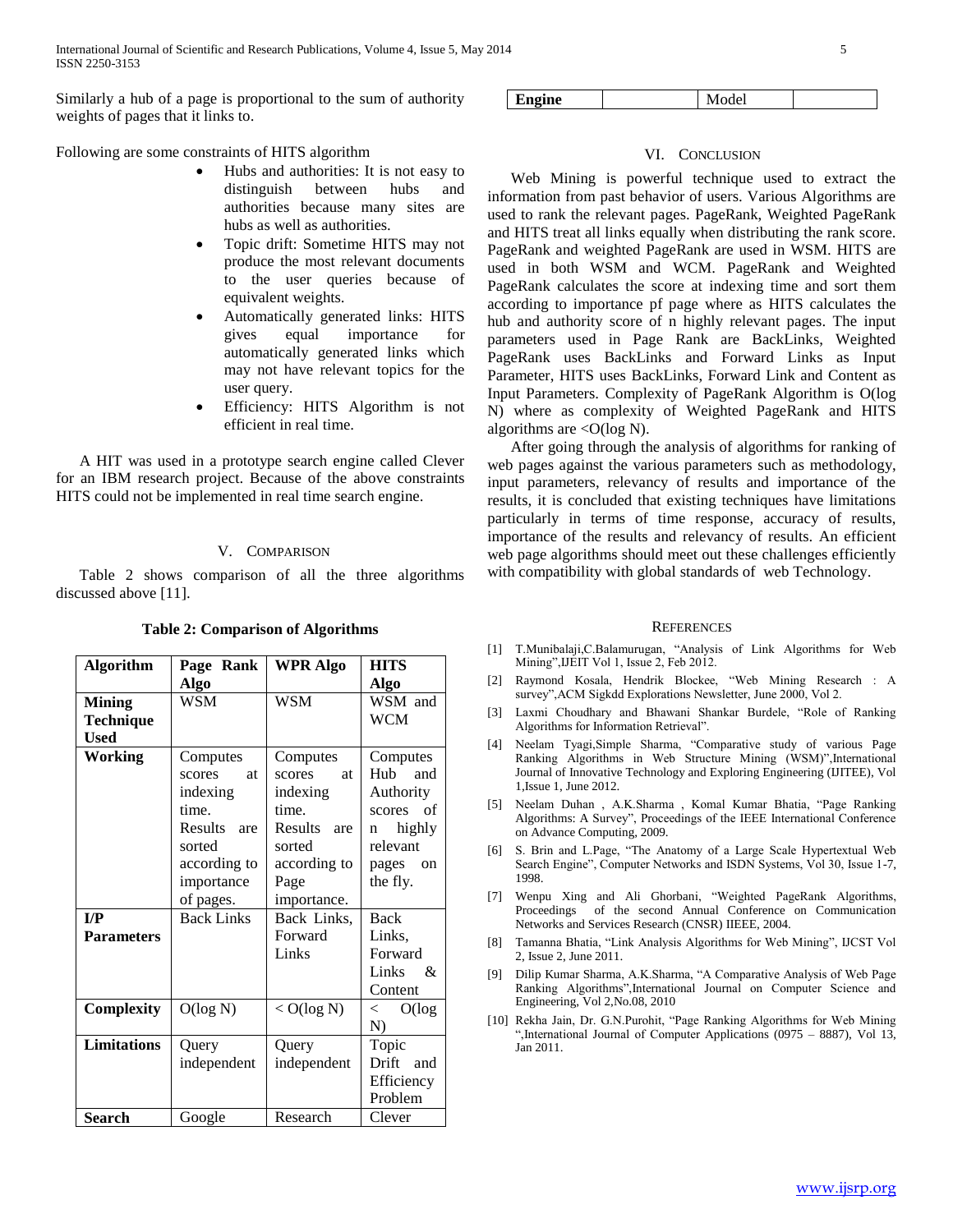International Journal of Scientific and Research Publications, Volume 4, Issue 5, May 2014 5 ISSN 2250-3153

Similarly a hub of a page is proportional to the sum of authority weights of pages that it links to.

Following are some constraints of HITS algorithm

- Hubs and authorities: It is not easy to distinguish between hubs and authorities because many sites are hubs as well as authorities.
- Topic drift: Sometime HITS may not produce the most relevant documents to the user queries because of equivalent weights.
- Automatically generated links: HITS gives equal importance for automatically generated links which may not have relevant topics for the user query.
- Efficiency: HITS Algorithm is not efficient in real time.

 A HIT was used in a prototype search engine called Clever for an IBM research project. Because of the above constraints HITS could not be implemented in real time search engine.

## V. COMPARISON

 Table 2 shows comparison of all the three algorithms discussed above [11].

| <b>Algorithm</b>        | Page Rank           | <b>WPR Algo</b> | HITS                                 |
|-------------------------|---------------------|-----------------|--------------------------------------|
|                         | Algo                |                 | Algo                                 |
| <b>Mining</b>           | WSM                 | WSM             | WSM and                              |
| Technique               |                     |                 | WCM                                  |
| <b>Used</b>             |                     |                 |                                      |
| Working                 | Computes            | Computes        | Computes                             |
|                         | <b>at</b><br>scores | scores<br>at    | H <sub>u</sub> h<br>and              |
|                         | indexing            | indexing        | Authority                            |
|                         | time.               | time.           | - of<br>scores                       |
|                         | Results are         | Results are     | highly<br>n                          |
|                         | sorted              | sorted          | relevant                             |
|                         | according to        | according to    | pages<br><sub>on</sub>               |
|                         | importance          | Page            | the fly.                             |
|                         | of pages.           | importance.     |                                      |
| $\mathbf{I}/\mathbf{P}$ | <b>Back Links</b>   | Back Links,     | Back                                 |
| <b>Parameters</b>       |                     | Forward         | Links,                               |
|                         |                     | Links           | Forward                              |
|                         |                     |                 | Links<br>$\mathcal{R}_{\mathcal{I}}$ |
|                         |                     |                 | Content                              |
| Complexity              | O(log N)            | $<$ O(log N)    | O(log<br>$\,<\,$                     |
|                         |                     |                 | N)                                   |
| <b>Limitations</b>      | Query               | Query           | Topic                                |
|                         | independent         | independent     | Drift and                            |
|                         |                     |                 | Efficiency                           |
|                         |                     |                 | Problem                              |
| Search                  | Google              | Research        | Clever                               |

**Table 2: Comparison of Algorithms**

Engine Model

## VI. CONCLUSION

 Web Mining is powerful technique used to extract the information from past behavior of users. Various Algorithms are used to rank the relevant pages. PageRank, Weighted PageRank and HITS treat all links equally when distributing the rank score. PageRank and weighted PageRank are used in WSM. HITS are used in both WSM and WCM. PageRank and Weighted PageRank calculates the score at indexing time and sort them according to importance pf page where as HITS calculates the hub and authority score of n highly relevant pages. The input parameters used in Page Rank are BackLinks, Weighted PageRank uses BackLinks and Forward Links as Input Parameter, HITS uses BackLinks, Forward Link and Content as Input Parameters. Complexity of PageRank Algorithm is O(log N) where as complexity of Weighted PageRank and HITS algorithms are  $\langle O(\log N)$ .

 After going through the analysis of algorithms for ranking of web pages against the various parameters such as methodology, input parameters, relevancy of results and importance of the results, it is concluded that existing techniques have limitations particularly in terms of time response, accuracy of results, importance of the results and relevancy of results. An efficient web page algorithms should meet out these challenges efficiently with compatibility with global standards of web Technology.

#### **REFERENCES**

- [1] T.Munibalaji,C.Balamurugan, "Analysis of Link Algorithms for Web Mining",IJEIT Vol 1, Issue 2, Feb 2012.
- [2] Raymond Kosala, Hendrik Blockee, "Web Mining Research : A survey",ACM Sigkdd Explorations Newsletter, June 2000, Vol 2.
- [3] Laxmi Choudhary and Bhawani Shankar Burdele, "Role of Ranking Algorithms for Information Retrieval".
- [4] Neelam Tyagi,Simple Sharma, "Comparative study of various Page Ranking Algorithms in Web Structure Mining (WSM)",International Journal of Innovative Technology and Exploring Engineering (IJITEE), Vol 1,Issue 1, June 2012.
- [5] Neelam Duhan , A.K.Sharma , Komal Kumar Bhatia, "Page Ranking Algorithms: A Survey", Proceedings of the IEEE International Conference on Advance Computing, 2009.
- [6] S. Brin and L.Page, "The Anatomy of a Large Scale Hypertextual Web Search Engine", Computer Networks and ISDN Systems, Vol 30, Issue 1-7, 1998.
- [7] Wenpu Xing and Ali Ghorbani, "Weighted PageRank Algorithms, Proceedings of the second Annual Conference on Communication Networks and Services Research (CNSR) IIEEE, 2004.
- [8] Tamanna Bhatia, "Link Analysis Algorithms for Web Mining", IJCST Vol 2, Issue 2, June 2011.
- [9] Dilip Kumar Sharma, A.K.Sharma, "A Comparative Analysis of Web Page Ranking Algorithms",International Journal on Computer Science and Engineering, Vol 2,No.08, 2010
- [10] Rekha Jain, Dr. G.N.Purohit, "Page Ranking Algorithms for Web Mining ",International Journal of Computer Applications (0975 – 8887), Vol 13, Jan 2011.